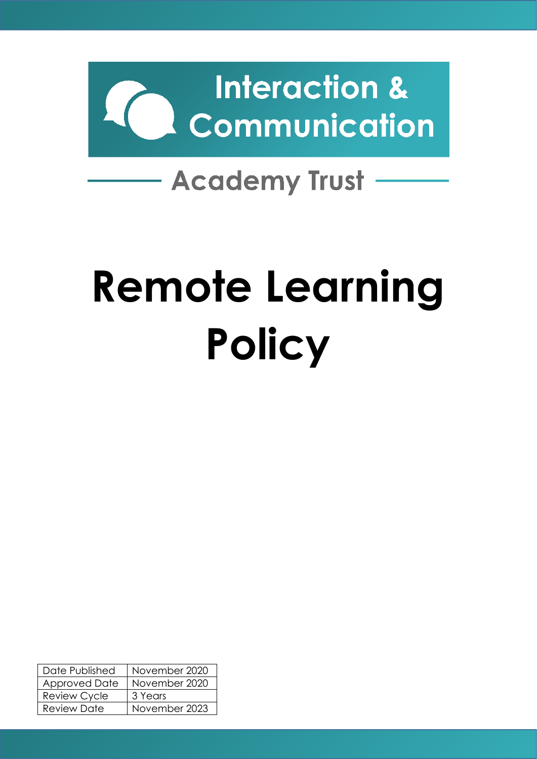

# - Academy Trust -

# **Remote Learning Policy**

| Date Published      | November 2020 |
|---------------------|---------------|
| Approved Date       | November 2020 |
| <b>Review Cycle</b> | 3 Years       |
| Review Date         | November 2023 |
|                     |               |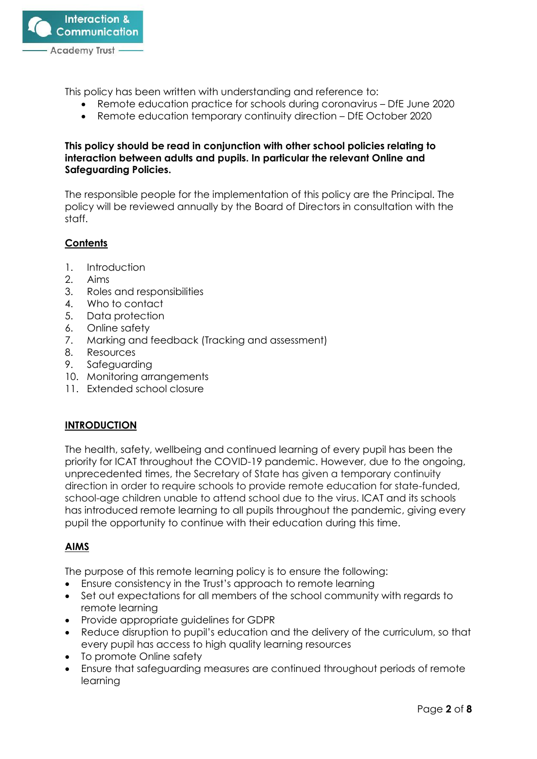

This policy has been written with understanding and reference to:

- Remote education practice for schools during coronavirus DfE June 2020
- Remote education temporary continuity direction DfE October 2020

#### **This policy should be read in conjunction with other school policies relating to interaction between adults and pupils. In particular the relevant Online and Safeguarding Policies.**

The responsible people for the implementation of this policy are the Principal. The policy will be reviewed annually by the Board of Directors in consultation with the staff.

# **Contents**

- 1. Introduction
- 2. Aims
- 3. Roles and responsibilities
- 4. Who to contact
- 5. Data protection
- 6. Online safety
- 7. Marking and feedback (Tracking and assessment)
- 8. Resources
- 9. Safeguarding
- 10. Monitoring arrangements
- 11. Extended school closure

#### **INTRODUCTION**

The health, safety, wellbeing and continued learning of every pupil has been the priority for ICAT throughout the COVID-19 pandemic. However, due to the ongoing, unprecedented times, the Secretary of State has given a temporary continuity direction in order to require schools to provide remote education for state-funded, school-age children unable to attend school due to the virus. ICAT and its schools has introduced remote learning to all pupils throughout the pandemic, giving every pupil the opportunity to continue with their education during this time.

# **AIMS**

The purpose of this remote learning policy is to ensure the following:

- Ensure consistency in the Trust's approach to remote learning
- Set out expectations for all members of the school community with regards to remote learning
- Provide appropriate guidelines for GDPR
- Reduce disruption to pupil's education and the delivery of the curriculum, so that every pupil has access to high quality learning resources
- To promote Online safety
- Ensure that safeguarding measures are continued throughout periods of remote learning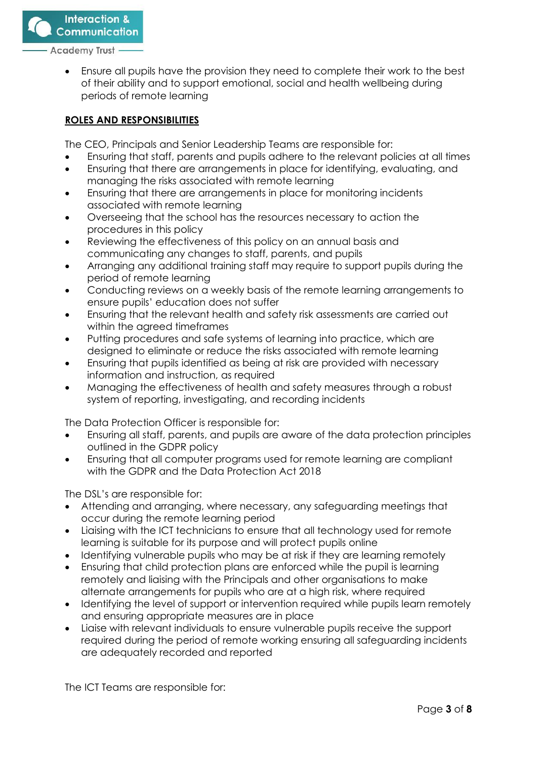**Communication** 

**Interaction &** 

Academy Trust .

• Ensure all pupils have the provision they need to complete their work to the best of their ability and to support emotional, social and health wellbeing during periods of remote learning

#### **ROLES AND RESPONSIBILITIES**

The CEO, Principals and Senior Leadership Teams are responsible for:

- Ensuring that staff, parents and pupils adhere to the relevant policies at all times
- Ensuring that there are arrangements in place for identifying, evaluating, and managing the risks associated with remote learning
- Ensuring that there are arrangements in place for monitoring incidents associated with remote learning
- Overseeing that the school has the resources necessary to action the procedures in this policy
- Reviewing the effectiveness of this policy on an annual basis and communicating any changes to staff, parents, and pupils
- Arranging any additional training staff may require to support pupils during the period of remote learning
- Conducting reviews on a weekly basis of the remote learning arrangements to ensure pupils' education does not suffer
- Ensuring that the relevant health and safety risk assessments are carried out within the agreed timeframes
- Putting procedures and safe systems of learning into practice, which are designed to eliminate or reduce the risks associated with remote learning
- Ensuring that pupils identified as being at risk are provided with necessary information and instruction, as required
- Managing the effectiveness of health and safety measures through a robust system of reporting, investigating, and recording incidents

The Data Protection Officer is responsible for:

- Ensuring all staff, parents, and pupils are aware of the data protection principles outlined in the GDPR policy
- Ensuring that all computer programs used for remote learning are compliant with the GDPR and the Data Protection Act 2018

The DSL's are responsible for:

- Attending and arranging, where necessary, any safeguarding meetings that occur during the remote learning period
- Liaising with the ICT technicians to ensure that all technology used for remote learning is suitable for its purpose and will protect pupils online
- Identifying vulnerable pupils who may be at risk if they are learning remotely
- Ensuring that child protection plans are enforced while the pupil is learning remotely and liaising with the Principals and other organisations to make alternate arrangements for pupils who are at a high risk, where required
- Identifying the level of support or intervention required while pupils learn remotely and ensuring appropriate measures are in place
- Liaise with relevant individuals to ensure vulnerable pupils receive the support required during the period of remote working ensuring all safeguarding incidents are adequately recorded and reported

The ICT Teams are responsible for: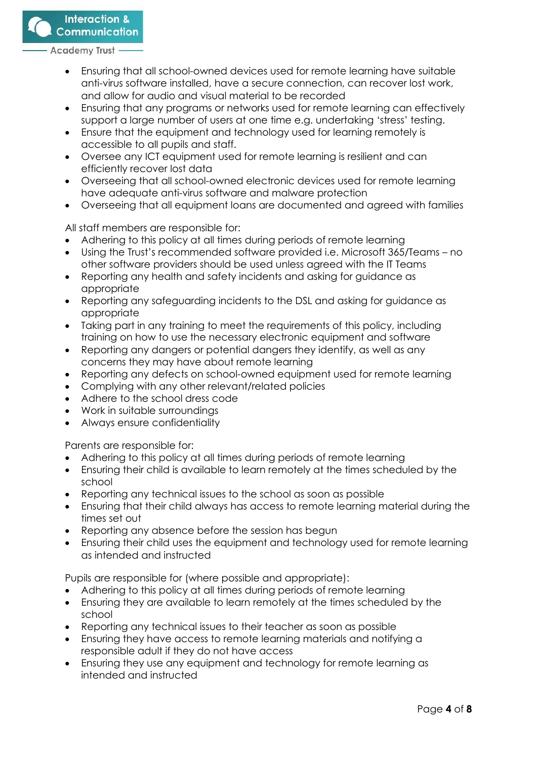**Interaction & Communication** 

**Academy Trust** 

- Ensuring that all school-owned devices used for remote learning have suitable anti-virus software installed, have a secure connection, can recover lost work, and allow for audio and visual material to be recorded
- Ensuring that any programs or networks used for remote learning can effectively support a large number of users at one time e.g. undertaking 'stress' testing.
- Ensure that the equipment and technology used for learning remotely is accessible to all pupils and staff.
- Oversee any ICT equipment used for remote learning is resilient and can efficiently recover lost data
- Overseeing that all school-owned electronic devices used for remote learning have adequate anti-virus software and malware protection
- Overseeing that all equipment loans are documented and agreed with families

All staff members are responsible for:

- Adhering to this policy at all times during periods of remote learning
- Using the Trust's recommended software provided i.e. Microsoft 365/Teams no other software providers should be used unless agreed with the IT Teams
- Reporting any health and safety incidents and asking for guidance as appropriate
- Reporting any safeguarding incidents to the DSL and asking for guidance as appropriate
- Taking part in any training to meet the requirements of this policy, including training on how to use the necessary electronic equipment and software
- Reporting any dangers or potential dangers they identify, as well as any concerns they may have about remote learning
- Reporting any defects on school-owned equipment used for remote learning
- Complying with any other relevant/related policies
- Adhere to the school dress code
- Work in suitable surroundings
- Always ensure confidentiality

Parents are responsible for:

- Adhering to this policy at all times during periods of remote learning
- Ensuring their child is available to learn remotely at the times scheduled by the school
- Reporting any technical issues to the school as soon as possible
- Ensuring that their child always has access to remote learning material during the times set out
- Reporting any absence before the session has begun
- Ensuring their child uses the equipment and technology used for remote learning as intended and instructed

Pupils are responsible for (where possible and appropriate):

- Adhering to this policy at all times during periods of remote learning
- Ensuring they are available to learn remotely at the times scheduled by the school
- Reporting any technical issues to their teacher as soon as possible
- Ensuring they have access to remote learning materials and notifying a responsible adult if they do not have access
- Ensuring they use any equipment and technology for remote learning as intended and instructed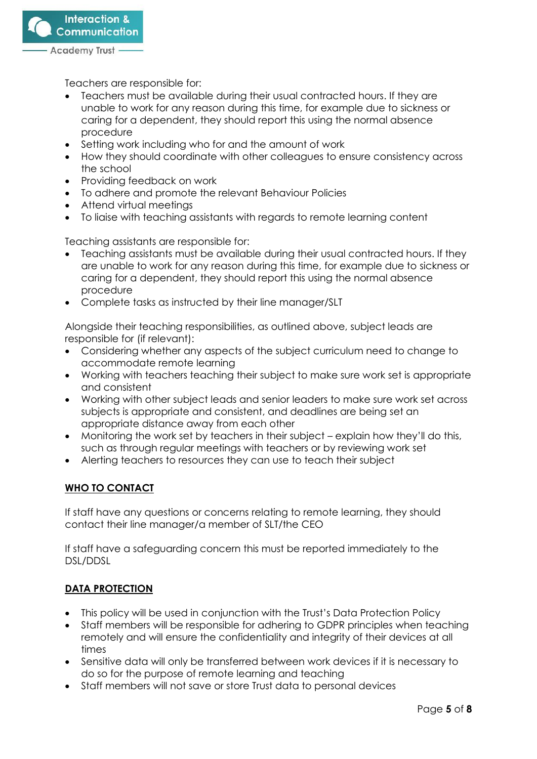

Teachers are responsible for:

- Teachers must be available during their usual contracted hours. If they are unable to work for any reason during this time, for example due to sickness or caring for a dependent, they should report this using the normal absence procedure
- Setting work including who for and the amount of work
- How they should coordinate with other colleagues to ensure consistency across the school
- Providing feedback on work
- To adhere and promote the relevant Behaviour Policies
- Attend virtual meetings
- To liaise with teaching assistants with regards to remote learning content

Teaching assistants are responsible for:

- Teaching assistants must be available during their usual contracted hours. If they are unable to work for any reason during this time, for example due to sickness or caring for a dependent, they should report this using the normal absence procedure
- Complete tasks as instructed by their line manager/SLT

Alongside their teaching responsibilities, as outlined above, subject leads are responsible for (if relevant):

- Considering whether any aspects of the subject curriculum need to change to accommodate remote learning
- Working with teachers teaching their subject to make sure work set is appropriate and consistent
- Working with other subject leads and senior leaders to make sure work set across subjects is appropriate and consistent, and deadlines are being set an appropriate distance away from each other
- Monitoring the work set by teachers in their subject explain how they'll do this, such as through regular meetings with teachers or by reviewing work set
- Alerting teachers to resources they can use to teach their subject

# **WHO TO CONTACT**

If staff have any questions or concerns relating to remote learning, they should contact their line manager/a member of SLT/the CEO

If staff have a safeguarding concern this must be reported immediately to the DSL/DDSL

# **DATA PROTECTION**

- This policy will be used in conjunction with the Trust's Data Protection Policy
- Staff members will be responsible for adhering to GDPR principles when teaching remotely and will ensure the confidentiality and integrity of their devices at all times
- Sensitive data will only be transferred between work devices if it is necessary to do so for the purpose of remote learning and teaching
- Staff members will not save or store Trust data to personal devices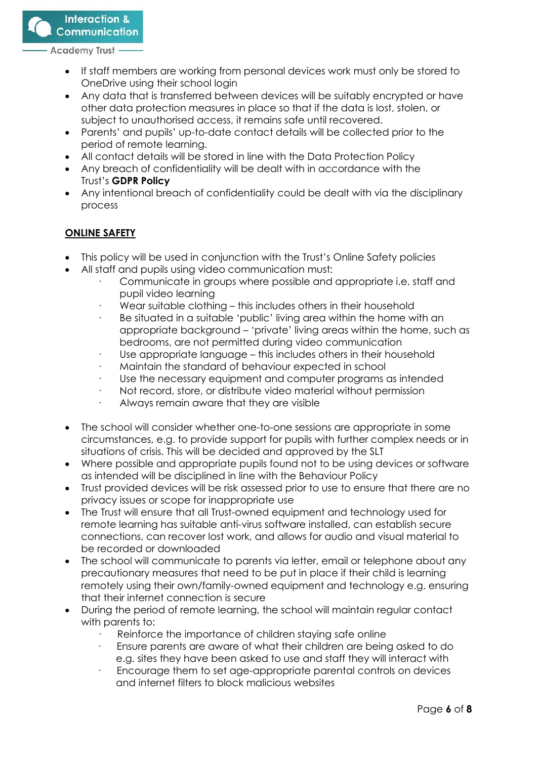**Interaction & Communication** 

**Academy Trust** 

- If staff members are working from personal devices work must only be stored to OneDrive using their school login
- Any data that is transferred between devices will be suitably encrypted or have other data protection measures in place so that if the data is lost, stolen, or subject to unauthorised access, it remains safe until recovered.
- Parents' and pupils' up-to-date contact details will be collected prior to the period of remote learning.
- All contact details will be stored in line with the Data Protection Policy
- Any breach of confidentiality will be dealt with in accordance with the Trust's **GDPR Policy**
- Any intentional breach of confidentiality could be dealt with via the disciplinary process

# **ONLINE SAFETY**

- This policy will be used in conjunction with the Trust's Online Safety policies
- All staff and pupils using video communication must:
	- Communicate in groups where possible and appropriate i.e. staff and pupil video learning
	- Wear suitable clothing this includes others in their household
	- Be situated in a suitable 'public' living area within the home with an appropriate background – 'private' living areas within the home, such as bedrooms, are not permitted during video communication
	- Use appropriate language this includes others in their household
	- · Maintain the standard of behaviour expected in school
	- Use the necessary equipment and computer programs as intended
	- Not record, store, or distribute video material without permission
	- Always remain aware that they are visible
- The school will consider whether one-to-one sessions are appropriate in some circumstances, e.g. to provide support for pupils with further complex needs or in situations of crisis. This will be decided and approved by the SLT
- Where possible and appropriate pupils found not to be using devices or software as intended will be disciplined in line with the Behaviour Policy
- Trust provided devices will be risk assessed prior to use to ensure that there are no privacy issues or scope for inappropriate use
- The Trust will ensure that all Trust-owned equipment and technology used for remote learning has suitable anti-virus software installed, can establish secure connections, can recover lost work, and allows for audio and visual material to be recorded or downloaded
- The school will communicate to parents via letter, email or telephone about any precautionary measures that need to be put in place if their child is learning remotely using their own/family-owned equipment and technology e.g. ensuring that their internet connection is secure
- During the period of remote learning, the school will maintain regular contact with parents to:
	- Reinforce the importance of children staying safe online
	- · Ensure parents are aware of what their children are being asked to do e.g. sites they have been asked to use and staff they will interact with
	- Encourage them to set age-appropriate parental controls on devices and internet filters to block malicious websites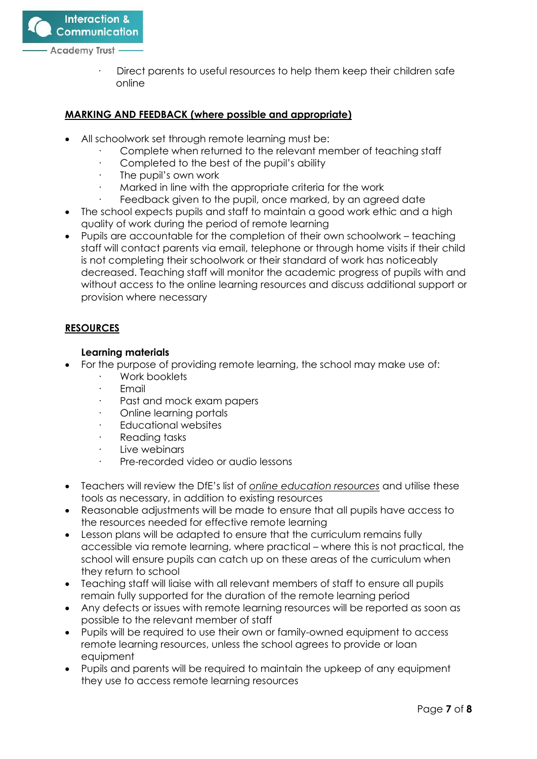

Direct parents to useful resources to help them keep their children safe online

#### **MARKING AND FEEDBACK (where possible and appropriate)**

- All schoolwork set through remote learning must be:
	- · Complete when returned to the relevant member of teaching staff
	- · Completed to the best of the pupil's ability
	- The pupil's own work
	- Marked in line with the appropriate criteria for the work
	- Feedback given to the pupil, once marked, by an agreed date
- The school expects pupils and staff to maintain a good work ethic and a high quality of work during the period of remote learning
- Pupils are accountable for the completion of their own schoolwork teaching staff will contact parents via email, telephone or through home visits if their child is not completing their schoolwork or their standard of work has noticeably decreased. Teaching staff will monitor the academic progress of pupils with and without access to the online learning resources and discuss additional support or provision where necessary

#### **RESOURCES**

#### **Learning materials**

- For the purpose of providing remote learning, the school may make use of:
	- Work booklets
	- **Email**
	- Past and mock exam papers
	- · Online learning portals
	- Educational websites
	- · Reading tasks
	- Live webinars
	- Pre-recorded video or audio lessons
- Teachers will review the DfE's list of *[online education resources](https://www.gov.uk/government/publications/coronavirus-covid-19-online-education-resources)* and utilise these tools as necessary, in addition to existing resources
- Reasonable adjustments will be made to ensure that all pupils have access to the resources needed for effective remote learning
- Lesson plans will be adapted to ensure that the curriculum remains fully accessible via remote learning, where practical – where this is not practical, the school will ensure pupils can catch up on these areas of the curriculum when they return to school
- Teaching staff will liaise with all relevant members of staff to ensure all pupils remain fully supported for the duration of the remote learning period
- Any defects or issues with remote learning resources will be reported as soon as possible to the relevant member of staff
- Pupils will be required to use their own or family-owned equipment to access remote learning resources, unless the school agrees to provide or loan equipment
- Pupils and parents will be required to maintain the upkeep of any equipment they use to access remote learning resources